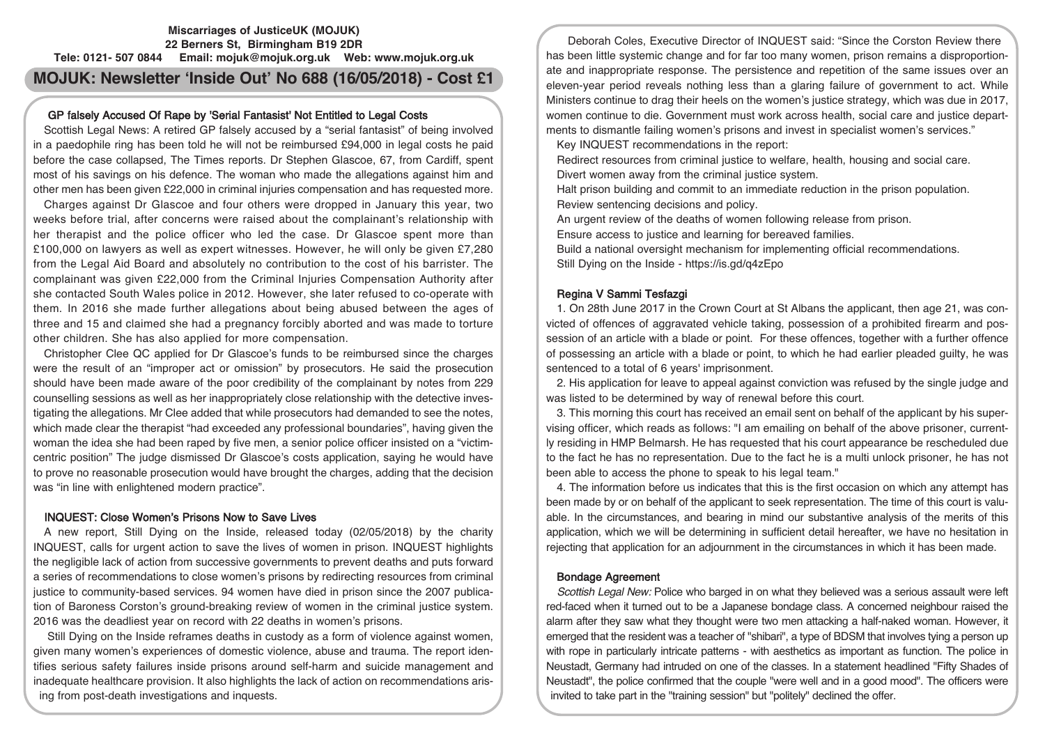# **Miscarriages of JusticeUK (MOJUK) 22 Berners St, Birmingham B19 2DR Tele: 0121- 507 0844 Email: mojuk@mojuk.org.uk Web: www.mojuk.org.uk**

# **MOJUK: Newsletter 'Inside Out' No 688 (16/05/2018) - Cost £1**

## GP falsely Accused Of Rape by 'Serial Fantasist' Not Entitled to Legal Costs

Scottish Legal News: A retired GP falsely accused by a "serial fantasist" of being involved in a paedophile ring has been told he will not be reimbursed £94,000 in legal costs he paid before the case collapsed, The Times reports. Dr Stephen Glascoe, 67, from Cardiff, spent most of his savings on his defence. The woman who made the allegations against him and other men has been given £22,000 in criminal injuries compensation and has requested more.

Charges against Dr Glascoe and four others were dropped in January this year, two weeks before trial, after concerns were raised about the complainant's relationship with her therapist and the police officer who led the case. Dr Glascoe spent more than £100,000 on lawyers as well as expert witnesses. However, he will only be given £7,280 from the Legal Aid Board and absolutely no contribution to the cost of his barrister. The complainant was given £22,000 from the Criminal Injuries Compensation Authority after she contacted South Wales police in 2012. However, she later refused to co-operate with them. In 2016 she made further allegations about being abused between the ages of three and 15 and claimed she had a pregnancy forcibly aborted and was made to torture other children. She has also applied for more compensation.

Christopher Clee QC applied for Dr Glascoe's funds to be reimbursed since the charges were the result of an "improper act or omission" by prosecutors. He said the prosecution should have been made aware of the poor credibility of the complainant by notes from 229 counselling sessions as well as her inappropriately close relationship with the detective investigating the allegations. Mr Clee added that while prosecutors had demanded to see the notes, which made clear the therapist "had exceeded any professional boundaries", having given the woman the idea she had been raped by five men, a senior police officer insisted on a "victimcentric position" The judge dismissed Dr Glascoe's costs application, saying he would have to prove no reasonable prosecution would have brought the charges, adding that the decision was "in line with enlightened modern practice".

#### INQUEST: Close Women's Prisons Now to Save Lives

A new report, Still Dying on the Inside, released today (02/05/2018) by the charity INQUEST, calls for urgent action to save the lives of women in prison. INQUEST highlights the negligible lack of action from successive governments to prevent deaths and puts forward a series of recommendations to close women's prisons by redirecting resources from criminal justice to community-based services. 94 women have died in prison since the 2007 publication of Baroness Corston's ground-breaking review of women in the criminal justice system. 2016 was the deadliest year on record with 22 deaths in women's prisons.

Still Dying on the Inside reframes deaths in custody as a form of violence against women, given many women's experiences of domestic violence, abuse and trauma. The report identifies serious safety failures inside prisons around self-harm and suicide management and inadequate healthcare provision. It also highlights the lack of action on recommendations arising from post-death investigations and inquests.

Deborah Coles, Executive Director of INQUEST said: "Since the Corston Review there has been little systemic change and for far too many women, prison remains a disproportionate and inappropriate response. The persistence and repetition of the same issues over an eleven-year period reveals nothing less than a glaring failure of government to act. While Ministers continue to drag their heels on the women's justice strategy, which was due in 2017, women continue to die. Government must work across health, social care and justice departments to dismantle failing women's prisons and invest in specialist women's services."

Key INQUEST recommendations in the report:

Redirect resources from criminal justice to welfare, health, housing and social care. Divert women away from the criminal justice system.

Halt prison building and commit to an immediate reduction in the prison population. Review sentencing decisions and policy.

An urgent review of the deaths of women following release from prison.

Ensure access to justice and learning for bereaved families.

Build a national oversight mechanism for implementing official recommendations. Still Dying on the Inside - https://is.gd/q4zEpo

## Regina V Sammi Tesfazgi

1. On 28th June 2017 in the Crown Court at St Albans the applicant, then age 21, was convicted of offences of aggravated vehicle taking, possession of a prohibited firearm and possession of an article with a blade or point. For these offences, together with a further offence of possessing an article with a blade or point, to which he had earlier pleaded guilty, he was sentenced to a total of 6 years' imprisonment.

2. His application for leave to appeal against conviction was refused by the single judge and was listed to be determined by way of renewal before this court.

3. This morning this court has received an email sent on behalf of the applicant by his supervising officer, which reads as follows: "I am emailing on behalf of the above prisoner, currently residing in HMP Belmarsh. He has requested that his court appearance be rescheduled due to the fact he has no representation. Due to the fact he is a multi unlock prisoner, he has not been able to access the phone to speak to his legal team."

4. The information before us indicates that this is the first occasion on which any attempt has been made by or on behalf of the applicant to seek representation. The time of this court is valuable. In the circumstances, and bearing in mind our substantive analysis of the merits of this application, which we will be determining in sufficient detail hereafter, we have no hesitation in rejecting that application for an adjournment in the circumstances in which it has been made.

## Bondage Agreement

Scottish Legal New: Police who barged in on what they believed was a serious assault were left red-faced when it turned out to be a Japanese bondage class. A concerned neighbour raised the alarm after they saw what they thought were two men attacking a half-naked woman. However, it emerged that the resident was a teacher of "shibari", a type of BDSM that involves tying a person up with rope in particularly intricate patterns - with aesthetics as important as function. The police in Neustadt, Germany had intruded on one of the classes. In a statement headlined "Fifty Shades of Neustadt", the police confirmed that the couple "were well and in a good mood". The officers were invited to take part in the "training session" but "politely" declined the offer.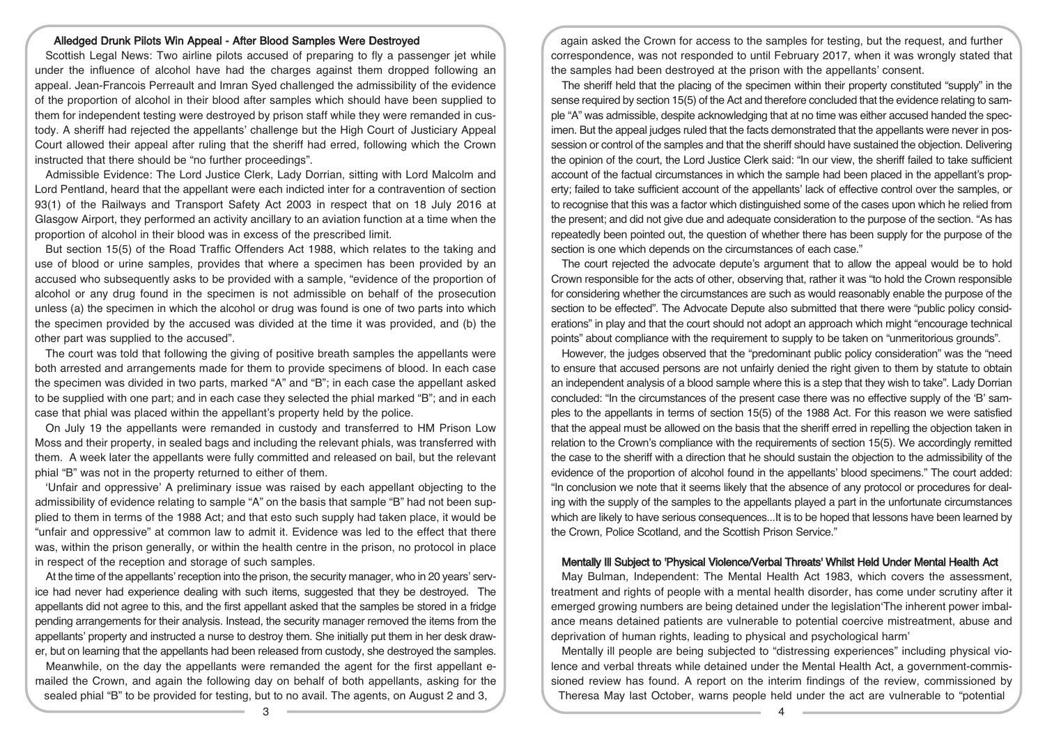#### Alledged Drunk Pilots Win Appeal - After Blood Samples Were Destroyed

Scottish Legal News: Two airline pilots accused of preparing to fly a passenger jet while under the influence of alcohol have had the charges against them dropped following an appeal. Jean-Francois Perreault and Imran Syed challenged the admissibility of the evidence of the proportion of alcohol in their blood after samples which should have been supplied to them for independent testing were destroyed by prison staff while they were remanded in custody. A sheriff had rejected the appellants' challenge but the High Court of Justiciary Appeal Court allowed their appeal after ruling that the sheriff had erred, following which the Crown instructed that there should be "no further proceedings".

Admissible Evidence: The Lord Justice Clerk, Lady Dorrian, sitting with Lord Malcolm and Lord Pentland, heard that the appellant were each indicted inter for a contravention of section 93(1) of the Railways and Transport Safety Act 2003 in respect that on 18 July 2016 at Glasgow Airport, they performed an activity ancillary to an aviation function at a time when the proportion of alcohol in their blood was in excess of the prescribed limit.

But section 15(5) of the Road Traffic Offenders Act 1988, which relates to the taking and use of blood or urine samples, provides that where a specimen has been provided by an accused who subsequently asks to be provided with a sample, "evidence of the proportion of alcohol or any drug found in the specimen is not admissible on behalf of the prosecution unless (a) the specimen in which the alcohol or drug was found is one of two parts into which the specimen provided by the accused was divided at the time it was provided, and (b) the other part was supplied to the accused".

The court was told that following the giving of positive breath samples the appellants were both arrested and arrangements made for them to provide specimens of blood. In each case the specimen was divided in two parts, marked "A" and "B"; in each case the appellant asked to be supplied with one part; and in each case they selected the phial marked "B"; and in each case that phial was placed within the appellant's property held by the police.

On July 19 the appellants were remanded in custody and transferred to HM Prison Low Moss and their property, in sealed bags and including the relevant phials, was transferred with them. A week later the appellants were fully committed and released on bail, but the relevant phial "B" was not in the property returned to either of them.

'Unfair and oppressive' A preliminary issue was raised by each appellant objecting to the admissibility of evidence relating to sample "A" on the basis that sample "B" had not been supplied to them in terms of the 1988 Act; and that esto such supply had taken place, it would be "unfair and oppressive" at common law to admit it. Evidence was led to the effect that there was, within the prison generally, or within the health centre in the prison, no protocol in place in respect of the reception and storage of such samples.

At the time of the appellants' reception into the prison, the security manager, who in 20 years' service had never had experience dealing with such items, suggested that they be destroyed. The appellants did not agree to this, and the first appellant asked that the samples be stored in a fridge pending arrangements for their analysis. Instead, the security manager removed the items from the appellants' property and instructed a nurse to destroy them. She initially put them in her desk drawer, but on learning that the appellants had been released from custody, she destroyed the samples.

Meanwhile, on the day the appellants were remanded the agent for the first appellant emailed the Crown, and again the following day on behalf of both appellants, asking for the sealed phial "B" to be provided for testing, but to no avail. The agents, on August 2 and 3,

again asked the Crown for access to the samples for testing, but the request, and further correspondence, was not responded to until February 2017, when it was wrongly stated that the samples had been destroyed at the prison with the appellants' consent.

The sheriff held that the placing of the specimen within their property constituted "supply" in the sense required by section 15(5) of the Act and therefore concluded that the evidence relating to sample "A" was admissible, despite acknowledging that at no time was either accused handed the specimen. But the appeal judges ruled that the facts demonstrated that the appellants were never in possession or control of the samples and that the sheriff should have sustained the objection. Delivering the opinion of the court, the Lord Justice Clerk said: "In our view, the sheriff failed to take sufficient account of the factual circumstances in which the sample had been placed in the appellant's property; failed to take sufficient account of the appellants' lack of effective control over the samples, or to recognise that this was a factor which distinguished some of the cases upon which he relied from the present; and did not give due and adequate consideration to the purpose of the section. "As has repeatedly been pointed out, the question of whether there has been supply for the purpose of the section is one which depends on the circumstances of each case."

The court rejected the advocate depute's argument that to allow the appeal would be to hold Crown responsible for the acts of other, observing that, rather it was "to hold the Crown responsible for considering whether the circumstances are such as would reasonably enable the purpose of the section to be effected". The Advocate Depute also submitted that there were "public policy considerations" in play and that the court should not adopt an approach which might "encourage technical points" about compliance with the requirement to supply to be taken on "unmeritorious grounds".

However, the judges observed that the "predominant public policy consideration" was the "need to ensure that accused persons are not unfairly denied the right given to them by statute to obtain an independent analysis of a blood sample where this is a step that they wish to take". Lady Dorrian concluded: "In the circumstances of the present case there was no effective supply of the 'B' samples to the appellants in terms of section 15(5) of the 1988 Act. For this reason we were satisfied that the appeal must be allowed on the basis that the sheriff erred in repelling the objection taken in relation to the Crown's compliance with the requirements of section 15(5). We accordingly remitted the case to the sheriff with a direction that he should sustain the objection to the admissibility of the evidence of the proportion of alcohol found in the appellants' blood specimens." The court added: "In conclusion we note that it seems likely that the absence of any protocol or procedures for dealing with the supply of the samples to the appellants played a part in the unfortunate circumstances which are likely to have serious consequences...It is to be hoped that lessons have been learned by the Crown, Police Scotland, and the Scottish Prison Service."

#### Mentally Ill Subject to 'Physical Violence/Verbal Threats' Whilst Held Under Mental Health Act

May Bulman, Independent: The Mental Health Act 1983, which covers the assessment, treatment and rights of people with a mental health disorder, has come under scrutiny after it emerged growing numbers are being detained under the legislation'The inherent power imbalance means detained patients are vulnerable to potential coercive mistreatment, abuse and deprivation of human rights, leading to physical and psychological harm'

Mentally ill people are being subjected to "distressing experiences" including physical violence and verbal threats while detained under the Mental Health Act, a government-commissioned review has found. A report on the interim findings of the review, commissioned by Theresa May last October, warns people held under the act are vulnerable to "potential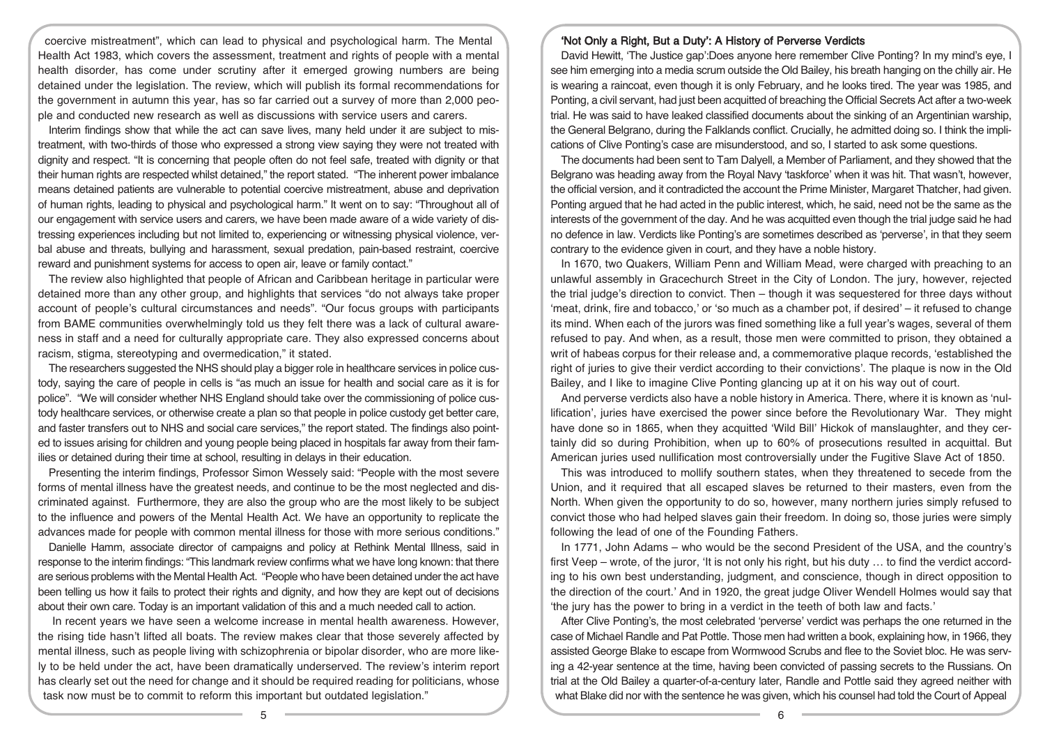coercive mistreatment", which can lead to physical and psychological harm. The Mental Health Act 1983, which covers the assessment, treatment and rights of people with a mental health disorder, has come under scrutiny after it emerged growing numbers are being detained under the legislation. The review, which will publish its formal recommendations for the government in autumn this year, has so far carried out a survey of more than 2,000 people and conducted new research as well as discussions with service users and carers.

Interim findings show that while the act can save lives, many held under it are subject to mistreatment, with two-thirds of those who expressed a strong view saying they were not treated with dignity and respect. "It is concerning that people often do not feel safe, treated with dignity or that their human rights are respected whilst detained," the report stated. "The inherent power imbalance means detained patients are vulnerable to potential coercive mistreatment, abuse and deprivation of human rights, leading to physical and psychological harm." It went on to say: "Throughout all of our engagement with service users and carers, we have been made aware of a wide variety of distressing experiences including but not limited to, experiencing or witnessing physical violence, verbal abuse and threats, bullying and harassment, sexual predation, pain-based restraint, coercive reward and punishment systems for access to open air, leave or family contact."

The review also highlighted that people of African and Caribbean heritage in particular were detained more than any other group, and highlights that services "do not always take proper account of people's cultural circumstances and needs". "Our focus groups with participants from BAME communities overwhelmingly told us they felt there was a lack of cultural awareness in staff and a need for culturally appropriate care. They also expressed concerns about racism, stigma, stereotyping and overmedication," it stated.

The researchers suggested the NHS should play a bigger role in healthcare services in police custody, saying the care of people in cells is "as much an issue for health and social care as it is for police". "We will consider whether NHS England should take over the commissioning of police custody healthcare services, or otherwise create a plan so that people in police custody get better care, and faster transfers out to NHS and social care services," the report stated. The findings also pointed to issues arising for children and young people being placed in hospitals far away from their families or detained during their time at school, resulting in delays in their education.

Presenting the interim findings, Professor Simon Wessely said: "People with the most severe forms of mental illness have the greatest needs, and continue to be the most neglected and discriminated against. Furthermore, they are also the group who are the most likely to be subject to the influence and powers of the Mental Health Act. We have an opportunity to replicate the advances made for people with common mental illness for those with more serious conditions."

Danielle Hamm, associate director of campaigns and policy at Rethink Mental Illness, said in response to the interim findings: "This landmark review confirms what we have long known: that there are serious problems with the Mental Health Act. "People who have been detained under the act have been telling us how it fails to protect their rights and dignity, and how they are kept out of decisions about their own care. Today is an important validation of this and a much needed call to action.

In recent years we have seen a welcome increase in mental health awareness. However, the rising tide hasn't lifted all boats. The review makes clear that those severely affected by mental illness, such as people living with schizophrenia or bipolar disorder, who are more likely to be held under the act, have been dramatically underserved. The review's interim report has clearly set out the need for change and it should be required reading for politicians, whose task now must be to commit to reform this important but outdated legislation."

#### 'Not Only a Right, But a Duty': A History of Perverse Verdicts

David Hewitt, 'The Justice gap':Does anyone here remember Clive Ponting? In my mind's eye, I see him emerging into a media scrum outside the Old Bailey, his breath hanging on the chilly air. He is wearing a raincoat, even though it is only February, and he looks tired. The year was 1985, and Ponting, a civil servant, had just been acquitted of breaching the Official Secrets Act after a two-week trial. He was said to have leaked classified documents about the sinking of an Argentinian warship, the General Belgrano, during the Falklands conflict. Crucially, he admitted doing so. I think the implications of Clive Ponting's case are misunderstood, and so, I started to ask some questions.

The documents had been sent to Tam Dalyell, a Member of Parliament, and they showed that the Belgrano was heading away from the Royal Navy 'taskforce' when it was hit. That wasn't, however, the official version, and it contradicted the account the Prime Minister, Margaret Thatcher, had given. Ponting argued that he had acted in the public interest, which, he said, need not be the same as the interests of the government of the day. And he was acquitted even though the trial judge said he had no defence in law. Verdicts like Ponting's are sometimes described as 'perverse', in that they seem contrary to the evidence given in court, and they have a noble history.

In 1670, two Quakers, William Penn and William Mead, were charged with preaching to an unlawful assembly in Gracechurch Street in the City of London. The jury, however, rejected the trial judge's direction to convict. Then – though it was sequestered for three days without 'meat, drink, fire and tobacco,' or 'so much as a chamber pot, if desired' – it refused to change its mind. When each of the jurors was fined something like a full year's wages, several of them refused to pay. And when, as a result, those men were committed to prison, they obtained a writ of habeas corpus for their release and, a commemorative plaque records, 'established the right of juries to give their verdict according to their convictions'. The plaque is now in the Old Bailey, and I like to imagine Clive Ponting glancing up at it on his way out of court.

And perverse verdicts also have a noble history in America. There, where it is known as 'nullification', juries have exercised the power since before the Revolutionary War. They might have done so in 1865, when they acquitted 'Wild Bill' Hickok of manslaughter, and they certainly did so during Prohibition, when up to 60% of prosecutions resulted in acquittal. But American juries used nullification most controversially under the Fugitive Slave Act of 1850.

This was introduced to mollify southern states, when they threatened to secede from the Union, and it required that all escaped slaves be returned to their masters, even from the North. When given the opportunity to do so, however, many northern juries simply refused to convict those who had helped slaves gain their freedom. In doing so, those juries were simply following the lead of one of the Founding Fathers.

In 1771, John Adams – who would be the second President of the USA, and the country's first Veep – wrote, of the juror, 'It is not only his right, but his duty … to find the verdict according to his own best understanding, judgment, and conscience, though in direct opposition to the direction of the court.' And in 1920, the great judge Oliver Wendell Holmes would say that 'the jury has the power to bring in a verdict in the teeth of both law and facts.'

After Clive Ponting's, the most celebrated 'perverse' verdict was perhaps the one returned in the case of Michael Randle and Pat Pottle. Those men had written a book, explaining how, in 1966, they assisted George Blake to escape from Wormwood Scrubs and flee to the Soviet bloc. He was serving a 42-year sentence at the time, having been convicted of passing secrets to the Russians. On trial at the Old Bailey a quarter-of-a-century later, Randle and Pottle said they agreed neither with what Blake did nor with the sentence he was given, which his counsel had told the Court of Appeal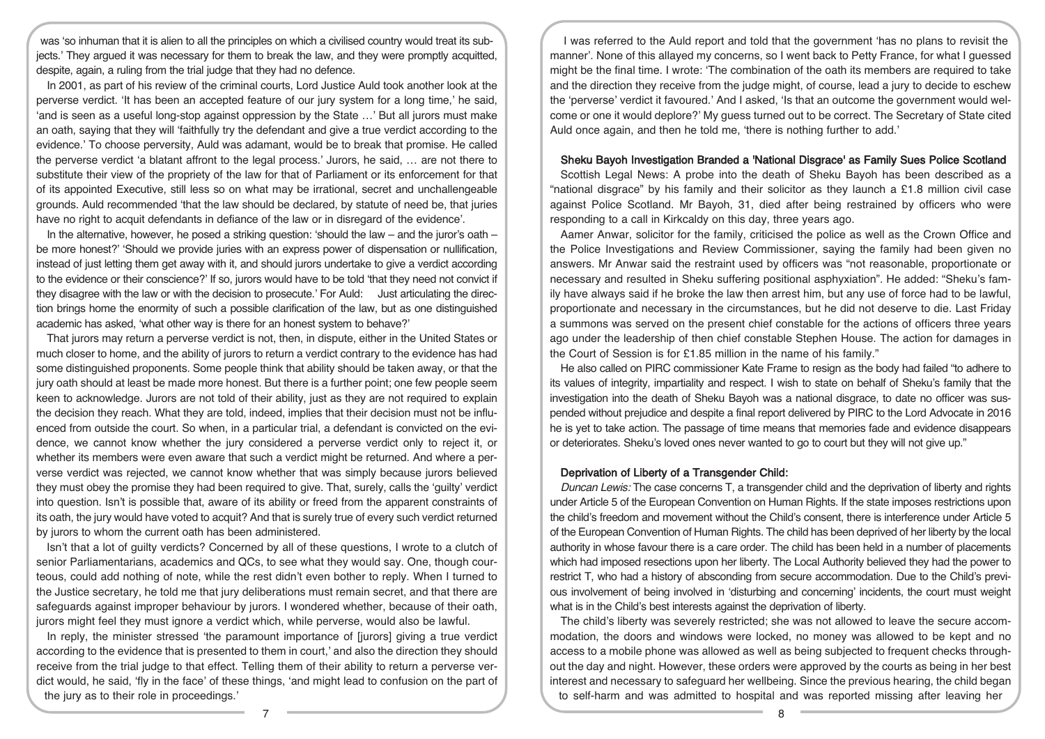was 'so inhuman that it is alien to all the principles on which a civilised country would treat its subjects.' They argued it was necessary for them to break the law, and they were promptly acquitted, despite, again, a ruling from the trial judge that they had no defence.

In 2001, as part of his review of the criminal courts, Lord Justice Auld took another look at the perverse verdict. 'It has been an accepted feature of our jury system for a long time,' he said, 'and is seen as a useful long-stop against oppression by the State …' But all jurors must make an oath, saying that they will 'faithfully try the defendant and give a true verdict according to the evidence.' To choose perversity, Auld was adamant, would be to break that promise. He called the perverse verdict 'a blatant affront to the legal process.' Jurors, he said, … are not there to substitute their view of the propriety of the law for that of Parliament or its enforcement for that of its appointed Executive, still less so on what may be irrational, secret and unchallengeable grounds. Auld recommended 'that the law should be declared, by statute of need be, that juries have no right to acquit defendants in defiance of the law or in disregard of the evidence'.

In the alternative, however, he posed a striking question: 'should the law – and the juror's oath – be more honest?' 'Should we provide juries with an express power of dispensation or nullification, instead of just letting them get away with it, and should jurors undertake to give a verdict according to the evidence or their conscience?' If so, jurors would have to be told 'that they need not convict if they disagree with the law or with the decision to prosecute.' For Auld: Just articulating the direction brings home the enormity of such a possible clarification of the law, but as one distinguished academic has asked, 'what other way is there for an honest system to behave?'

That jurors may return a perverse verdict is not, then, in dispute, either in the United States or much closer to home, and the ability of jurors to return a verdict contrary to the evidence has had some distinguished proponents. Some people think that ability should be taken away, or that the jury oath should at least be made more honest. But there is a further point; one few people seem keen to acknowledge. Jurors are not told of their ability, just as they are not required to explain the decision they reach. What they are told, indeed, implies that their decision must not be influenced from outside the court. So when, in a particular trial, a defendant is convicted on the evidence, we cannot know whether the jury considered a perverse verdict only to reject it, or whether its members were even aware that such a verdict might be returned. And where a perverse verdict was rejected, we cannot know whether that was simply because jurors believed they must obey the promise they had been required to give. That, surely, calls the 'guilty' verdict into question. Isn't is possible that, aware of its ability or freed from the apparent constraints of its oath, the jury would have voted to acquit? And that is surely true of every such verdict returned by jurors to whom the current oath has been administered.

Isn't that a lot of guilty verdicts? Concerned by all of these questions, I wrote to a clutch of senior Parliamentarians, academics and QCs, to see what they would say. One, though courteous, could add nothing of note, while the rest didn't even bother to reply. When I turned to the Justice secretary, he told me that jury deliberations must remain secret, and that there are safeguards against improper behaviour by jurors. I wondered whether, because of their oath, jurors might feel they must ignore a verdict which, while perverse, would also be lawful.

In reply, the minister stressed 'the paramount importance of [jurors] giving a true verdict according to the evidence that is presented to them in court,' and also the direction they should receive from the trial judge to that effect. Telling them of their ability to return a perverse verdict would, he said, 'fly in the face' of these things, 'and might lead to confusion on the part of the jury as to their role in proceedings.'

I was referred to the Auld report and told that the government 'has no plans to revisit the manner'. None of this allayed my concerns, so I went back to Petty France, for what I guessed might be the final time. I wrote: 'The combination of the oath its members are required to take and the direction they receive from the judge might, of course, lead a jury to decide to eschew the 'perverse' verdict it favoured.' And I asked, 'Is that an outcome the government would welcome or one it would deplore?' My guess turned out to be correct. The Secretary of State cited Auld once again, and then he told me, 'there is nothing further to add.'

## Sheku Bayoh Investigation Branded a 'National Disgrace' as Family Sues Police Scotland

Scottish Legal News: A probe into the death of Sheku Bayoh has been described as a "national disgrace" by his family and their solicitor as they launch a £1.8 million civil case against Police Scotland. Mr Bayoh, 31, died after being restrained by officers who were responding to a call in Kirkcaldy on this day, three years ago.

Aamer Anwar, solicitor for the family, criticised the police as well as the Crown Office and the Police Investigations and Review Commissioner, saying the family had been given no answers. Mr Anwar said the restraint used by officers was "not reasonable, proportionate or necessary and resulted in Sheku suffering positional asphyxiation". He added: "Sheku's family have always said if he broke the law then arrest him, but any use of force had to be lawful, proportionate and necessary in the circumstances, but he did not deserve to die. Last Friday a summons was served on the present chief constable for the actions of officers three years ago under the leadership of then chief constable Stephen House. The action for damages in the Court of Session is for £1.85 million in the name of his family."

He also called on PIRC commissioner Kate Frame to resign as the body had failed "to adhere to its values of integrity, impartiality and respect. I wish to state on behalf of Sheku's family that the investigation into the death of Sheku Bayoh was a national disgrace, to date no officer was suspended without prejudice and despite a final report delivered by PIRC to the Lord Advocate in 2016 he is yet to take action. The passage of time means that memories fade and evidence disappears or deteriorates. Sheku's loved ones never wanted to go to court but they will not give up."

#### Deprivation of Liberty of a Transgender Child:

Duncan Lewis: The case concerns T, a transgender child and the deprivation of liberty and rights under Article 5 of the European Convention on Human Rights. If the state imposes restrictions upon the child's freedom and movement without the Child's consent, there is interference under Article 5 of the European Convention of Human Rights. The child has been deprived of her liberty by the local authority in whose favour there is a care order. The child has been held in a number of placements which had imposed resections upon her liberty. The Local Authority believed they had the power to restrict T, who had a history of absconding from secure accommodation. Due to the Child's previous involvement of being involved in 'disturbing and concerning' incidents, the court must weight what is in the Child's best interests against the deprivation of liberty.

The child's liberty was severely restricted; she was not allowed to leave the secure accommodation, the doors and windows were locked, no money was allowed to be kept and no access to a mobile phone was allowed as well as being subjected to frequent checks throughout the day and night. However, these orders were approved by the courts as being in her best interest and necessary to safeguard her wellbeing. Since the previous hearing, the child began to self-harm and was admitted to hospital and was reported missing after leaving her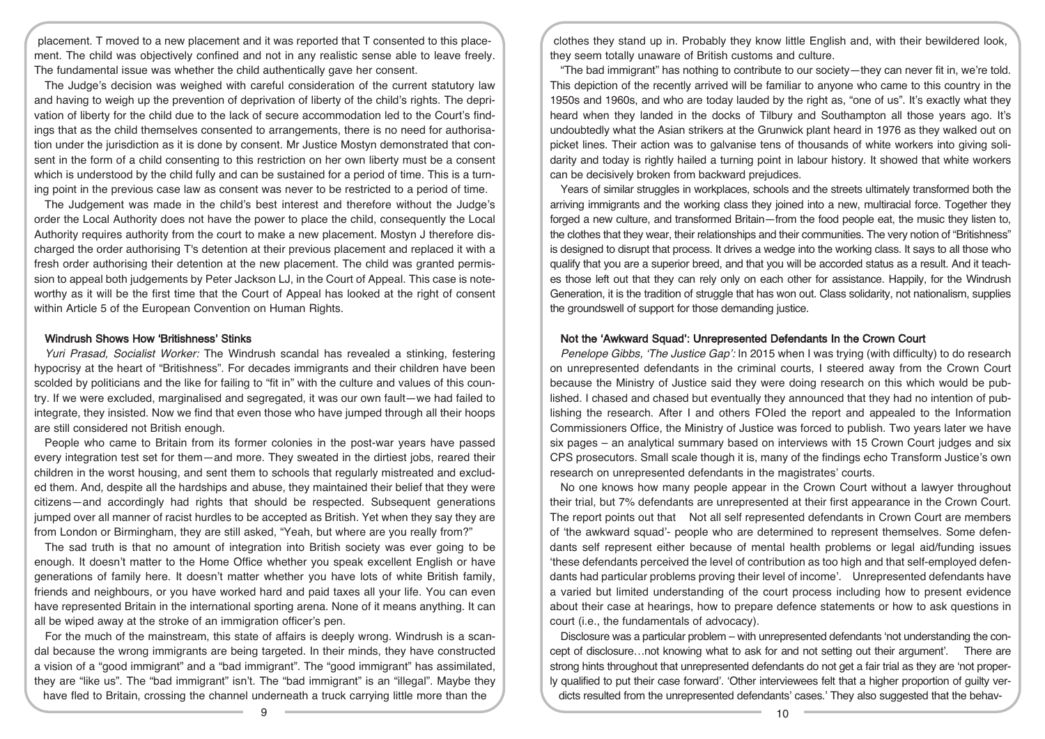placement. T moved to a new placement and it was reported that T consented to this placement. The child was objectively confined and not in any realistic sense able to leave freely. The fundamental issue was whether the child authentically gave her consent.

The Judge's decision was weighed with careful consideration of the current statutory law and having to weigh up the prevention of deprivation of liberty of the child's rights. The deprivation of liberty for the child due to the lack of secure accommodation led to the Court's findings that as the child themselves consented to arrangements, there is no need for authorisation under the jurisdiction as it is done by consent. Mr Justice Mostyn demonstrated that consent in the form of a child consenting to this restriction on her own liberty must be a consent which is understood by the child fully and can be sustained for a period of time. This is a turning point in the previous case law as consent was never to be restricted to a period of time.

The Judgement was made in the child's best interest and therefore without the Judge's order the Local Authority does not have the power to place the child, consequently the Local Authority requires authority from the court to make a new placement. Mostyn J therefore discharged the order authorising T's detention at their previous placement and replaced it with a fresh order authorising their detention at the new placement. The child was granted permission to appeal both judgements by Peter Jackson LJ, in the Court of Appeal. This case is noteworthy as it will be the first time that the Court of Appeal has looked at the right of consent within Article 5 of the European Convention on Human Rights.

#### Windrush Shows How 'Britishness' Stinks

Yuri Prasad, Socialist Worker: The Windrush scandal has revealed a stinking, festering hypocrisy at the heart of "Britishness". For decades immigrants and their children have been scolded by politicians and the like for failing to "fit in" with the culture and values of this country. If we were excluded, marginalised and segregated, it was our own fault—we had failed to integrate, they insisted. Now we find that even those who have jumped through all their hoops are still considered not British enough.

People who came to Britain from its former colonies in the post-war years have passed every integration test set for them—and more. They sweated in the dirtiest jobs, reared their children in the worst housing, and sent them to schools that regularly mistreated and excluded them. And, despite all the hardships and abuse, they maintained their belief that they were citizens—and accordingly had rights that should be respected. Subsequent generations jumped over all manner of racist hurdles to be accepted as British. Yet when they say they are from London or Birmingham, they are still asked, "Yeah, but where are you really from?"

The sad truth is that no amount of integration into British society was ever going to be enough. It doesn't matter to the Home Office whether you speak excellent English or have generations of family here. It doesn't matter whether you have lots of white British family, friends and neighbours, or you have worked hard and paid taxes all your life. You can even have represented Britain in the international sporting arena. None of it means anything. It can all be wiped away at the stroke of an immigration officer's pen.

For the much of the mainstream, this state of affairs is deeply wrong. Windrush is a scandal because the wrong immigrants are being targeted. In their minds, they have constructed a vision of a "good immigrant" and a "bad immigrant". The "good immigrant" has assimilated, they are "like us". The "bad immigrant" isn't. The "bad immigrant" is an "illegal". Maybe they have fled to Britain, crossing the channel underneath a truck carrying little more than the

clothes they stand up in. Probably they know little English and, with their bewildered look, they seem totally unaware of British customs and culture.

"The bad immigrant" has nothing to contribute to our society—they can never fit in, we're told. This depiction of the recently arrived will be familiar to anyone who came to this country in the 1950s and 1960s, and who are today lauded by the right as, "one of us". It's exactly what they heard when they landed in the docks of Tilbury and Southampton all those years ago. It's undoubtedly what the Asian strikers at the Grunwick plant heard in 1976 as they walked out on picket lines. Their action was to galvanise tens of thousands of white workers into giving solidarity and today is rightly hailed a turning point in labour history. It showed that white workers can be decisively broken from backward prejudices.

Years of similar struggles in workplaces, schools and the streets ultimately transformed both the arriving immigrants and the working class they joined into a new, multiracial force. Together they forged a new culture, and transformed Britain—from the food people eat, the music they listen to, the clothes that they wear, their relationships and their communities. The very notion of "Britishness" is designed to disrupt that process. It drives a wedge into the working class. It says to all those who qualify that you are a superior breed, and that you will be accorded status as a result. And it teaches those left out that they can rely only on each other for assistance. Happily, for the Windrush Generation, it is the tradition of struggle that has won out. Class solidarity, not nationalism, supplies the groundswell of support for those demanding justice.

## Not the 'Awkward Squad': Unrepresented Defendants In the Crown Court

Penelope Gibbs, 'The Justice Gap': In 2015 when I was trying (with difficulty) to do research on unrepresented defendants in the criminal courts, I steered away from the Crown Court because the Ministry of Justice said they were doing research on this which would be published. I chased and chased but eventually they announced that they had no intention of publishing the research. After I and others FOIed the report and appealed to the Information Commissioners Office, the Ministry of Justice was forced to publish. Two years later we have six pages – an analytical summary based on interviews with 15 Crown Court judges and six CPS prosecutors. Small scale though it is, many of the findings echo Transform Justice's own research on unrepresented defendants in the magistrates' courts.

No one knows how many people appear in the Crown Court without a lawyer throughout their trial, but 7% defendants are unrepresented at their first appearance in the Crown Court. The report points out that Not all self represented defendants in Crown Court are members of 'the awkward squad'- people who are determined to represent themselves. Some defendants self represent either because of mental health problems or legal aid/funding issues 'these defendants perceived the level of contribution as too high and that self-employed defendants had particular problems proving their level of income'. Unrepresented defendants have a varied but limited understanding of the court process including how to present evidence about their case at hearings, how to prepare defence statements or how to ask questions in court (i.e., the fundamentals of advocacy).

Disclosure was a particular problem – with unrepresented defendants 'not understanding the concept of disclosure…not knowing what to ask for and not setting out their argument'. There are strong hints throughout that unrepresented defendants do not get a fair trial as they are 'not properly qualified to put their case forward'. 'Other interviewees felt that a higher proportion of guilty verdicts resulted from the unrepresented defendants' cases.' They also suggested that the behav-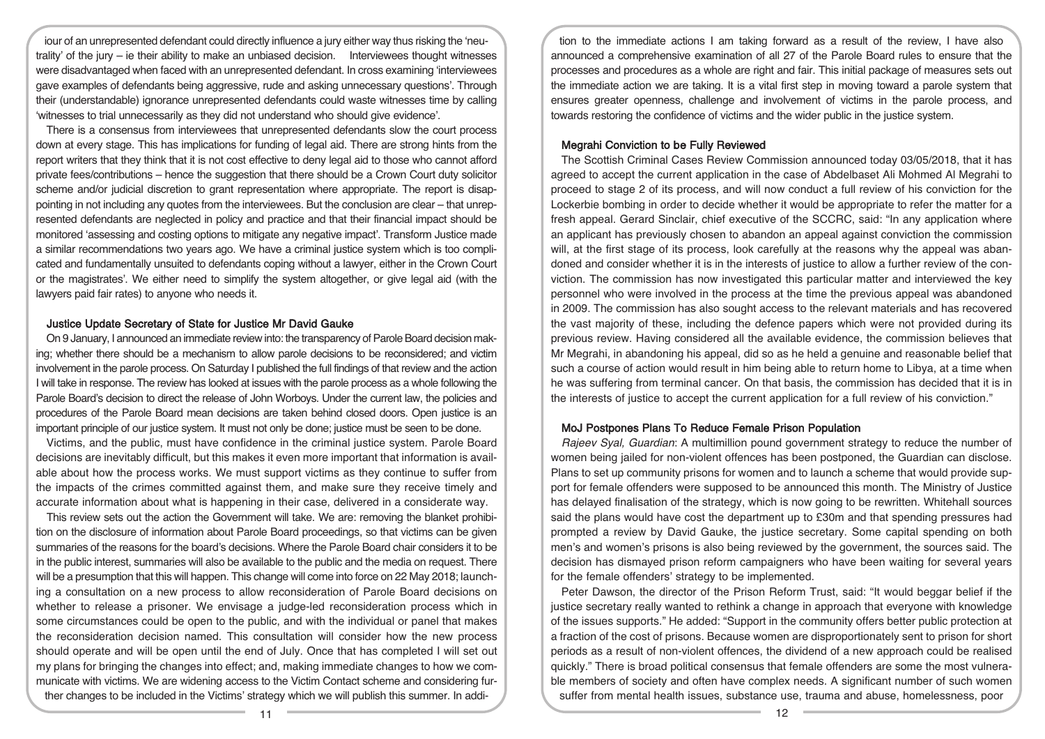iour of an unrepresented defendant could directly influence a jury either way thus risking the 'neutrality' of the jury – ie their ability to make an unbiased decision. Interviewees thought witnesses were disadvantaged when faced with an unrepresented defendant. In cross examining 'interviewees gave examples of defendants being aggressive, rude and asking unnecessary questions'. Through their (understandable) ignorance unrepresented defendants could waste witnesses time by calling 'witnesses to trial unnecessarily as they did not understand who should give evidence'.

There is a consensus from interviewees that unrepresented defendants slow the court process down at every stage. This has implications for funding of legal aid. There are strong hints from the report writers that they think that it is not cost effective to deny legal aid to those who cannot afford private fees/contributions – hence the suggestion that there should be a Crown Court duty solicitor scheme and/or judicial discretion to grant representation where appropriate. The report is disappointing in not including any quotes from the interviewees. But the conclusion are clear – that unrepresented defendants are neglected in policy and practice and that their financial impact should be monitored 'assessing and costing options to mitigate any negative impact'. Transform Justice made a similar recommendations two years ago. We have a criminal justice system which is too complicated and fundamentally unsuited to defendants coping without a lawyer, either in the Crown Court or the magistrates'. We either need to simplify the system altogether, or give legal aid (with the lawyers paid fair rates) to anyone who needs it.

#### Justice Update Secretary of State for Justice Mr David Gauke

On 9 January, I announced an immediate review into: the transparency of Parole Board decision making; whether there should be a mechanism to allow parole decisions to be reconsidered; and victim involvement in the parole process. On Saturday I published the full findings of that review and the action I will take in response. The review has looked at issues with the parole process as a whole following the Parole Board's decision to direct the release of John Worboys. Under the current law, the policies and procedures of the Parole Board mean decisions are taken behind closed doors. Open justice is an important principle of our justice system. It must not only be done; justice must be seen to be done.

Victims, and the public, must have confidence in the criminal justice system. Parole Board decisions are inevitably difficult, but this makes it even more important that information is available about how the process works. We must support victims as they continue to suffer from the impacts of the crimes committed against them, and make sure they receive timely and accurate information about what is happening in their case, delivered in a considerate way.

This review sets out the action the Government will take. We are: removing the blanket prohibition on the disclosure of information about Parole Board proceedings, so that victims can be given summaries of the reasons for the board's decisions. Where the Parole Board chair considers it to be in the public interest, summaries will also be available to the public and the media on request. There will be a presumption that this will happen. This change will come into force on 22 May 2018; launching a consultation on a new process to allow reconsideration of Parole Board decisions on whether to release a prisoner. We envisage a judge-led reconsideration process which in some circumstances could be open to the public, and with the individual or panel that makes the reconsideration decision named. This consultation will consider how the new process should operate and will be open until the end of July. Once that has completed I will set out my plans for bringing the changes into effect; and, making immediate changes to how we communicate with victims. We are widening access to the Victim Contact scheme and considering further changes to be included in the Victims' strategy which we will publish this summer. In addi-

tion to the immediate actions I am taking forward as a result of the review, I have also announced a comprehensive examination of all 27 of the Parole Board rules to ensure that the processes and procedures as a whole are right and fair. This initial package of measures sets out the immediate action we are taking. It is a vital first step in moving toward a parole system that ensures greater openness, challenge and involvement of victims in the parole process, and towards restoring the confidence of victims and the wider public in the justice system.

#### Megrahi Conviction to be Fully Reviewed

The Scottish Criminal Cases Review Commission announced today 03/05/2018, that it has agreed to accept the current application in the case of Abdelbaset Ali Mohmed Al Megrahi to proceed to stage 2 of its process, and will now conduct a full review of his conviction for the Lockerbie bombing in order to decide whether it would be appropriate to refer the matter for a fresh appeal. Gerard Sinclair, chief executive of the SCCRC, said: "In any application where an applicant has previously chosen to abandon an appeal against conviction the commission will, at the first stage of its process, look carefully at the reasons why the appeal was abandoned and consider whether it is in the interests of justice to allow a further review of the conviction. The commission has now investigated this particular matter and interviewed the key personnel who were involved in the process at the time the previous appeal was abandoned in 2009. The commission has also sought access to the relevant materials and has recovered the vast majority of these, including the defence papers which were not provided during its previous review. Having considered all the available evidence, the commission believes that Mr Megrahi, in abandoning his appeal, did so as he held a genuine and reasonable belief that such a course of action would result in him being able to return home to Libya, at a time when he was suffering from terminal cancer. On that basis, the commission has decided that it is in the interests of justice to accept the current application for a full review of his conviction."

## MoJ Postpones Plans To Reduce Female Prison Population

Rajeev Syal, Guardian: A multimillion pound government strategy to reduce the number of women being jailed for non-violent offences has been postponed, the Guardian can disclose. Plans to set up community prisons for women and to launch a scheme that would provide support for female offenders were supposed to be announced this month. The Ministry of Justice has delayed finalisation of the strategy, which is now going to be rewritten. Whitehall sources said the plans would have cost the department up to £30m and that spending pressures had prompted a review by David Gauke, the justice secretary. Some capital spending on both men's and women's prisons is also being reviewed by the government, the sources said. The decision has dismayed prison reform campaigners who have been waiting for several years for the female offenders' strategy to be implemented.

Peter Dawson, the director of the Prison Reform Trust, said: "It would beggar belief if the justice secretary really wanted to rethink a change in approach that everyone with knowledge of the issues supports." He added: "Support in the community offers better public protection at a fraction of the cost of prisons. Because women are disproportionately sent to prison for short periods as a result of non-violent offences, the dividend of a new approach could be realised quickly." There is broad political consensus that female offenders are some the most vulnerable members of society and often have complex needs. A significant number of such women suffer from mental health issues, substance use, trauma and abuse, homelessness, poor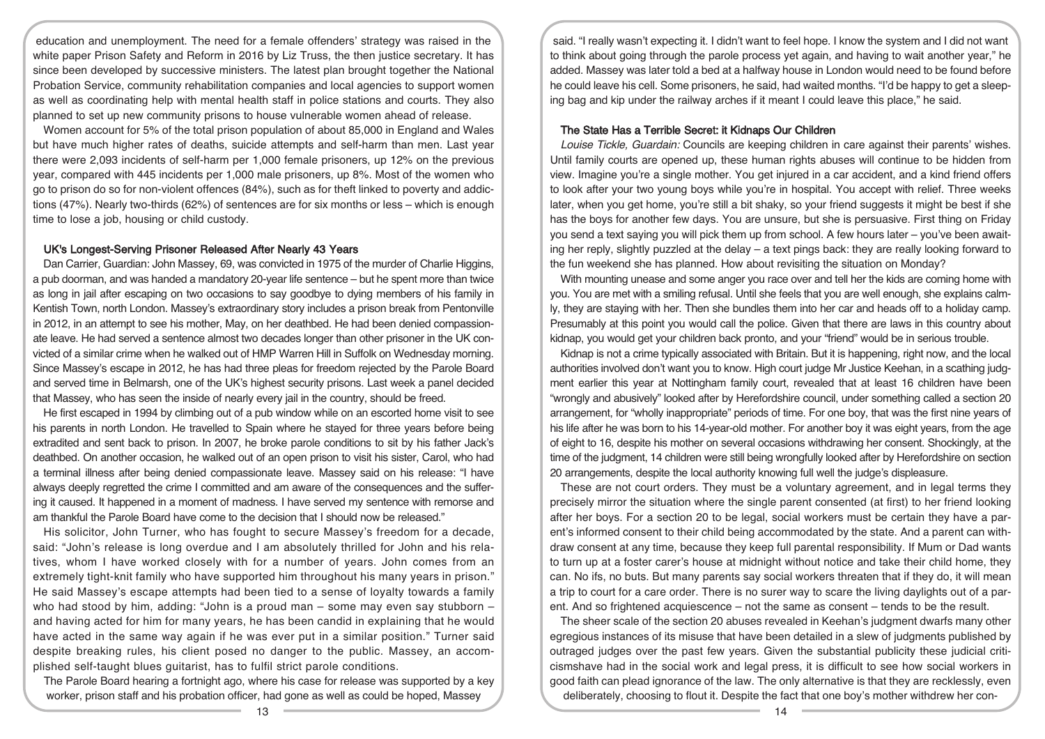education and unemployment. The need for a female offenders' strategy was raised in the white paper Prison Safety and Reform in 2016 by Liz Truss, the then justice secretary. It has since been developed by successive ministers. The latest plan brought together the National Probation Service, community rehabilitation companies and local agencies to support women as well as coordinating help with mental health staff in police stations and courts. They also planned to set up new community prisons to house vulnerable women ahead of release.

Women account for 5% of the total prison population of about 85,000 in England and Wales but have much higher rates of deaths, suicide attempts and self-harm than men. Last year there were 2,093 incidents of self-harm per 1,000 female prisoners, up 12% on the previous year, compared with 445 incidents per 1,000 male prisoners, up 8%. Most of the women who go to prison do so for non-violent offences (84%), such as for theft linked to poverty and addictions (47%). Nearly two-thirds (62%) of sentences are for six months or less – which is enough time to lose a job, housing or child custody.

#### UK's Longest-Serving Prisoner Released After Nearly 43 Years

Dan Carrier, Guardian: John Massey, 69, was convicted in 1975 of the murder of Charlie Higgins, a pub doorman, and was handed a mandatory 20-year life sentence – but he spent more than twice as long in jail after escaping on two occasions to say goodbye to dying members of his family in Kentish Town, north London. Massey's extraordinary story includes a prison break from Pentonville in 2012, in an attempt to see his mother, May, on her deathbed. He had been denied compassionate leave. He had served a sentence almost two decades longer than other prisoner in the UK convicted of a similar crime when he walked out of HMP Warren Hill in Suffolk on Wednesday morning. Since Massey's escape in 2012, he has had three pleas for freedom rejected by the Parole Board and served time in Belmarsh, one of the UK's highest security prisons. Last week a panel decided that Massey, who has seen the inside of nearly every jail in the country, should be freed.

He first escaped in 1994 by climbing out of a pub window while on an escorted home visit to see his parents in north London. He travelled to Spain where he stayed for three years before being extradited and sent back to prison. In 2007, he broke parole conditions to sit by his father Jack's deathbed. On another occasion, he walked out of an open prison to visit his sister, Carol, who had a terminal illness after being denied compassionate leave. Massey said on his release: "I have always deeply regretted the crime I committed and am aware of the consequences and the suffering it caused. It happened in a moment of madness. I have served my sentence with remorse and am thankful the Parole Board have come to the decision that I should now be released."

His solicitor, John Turner, who has fought to secure Massey's freedom for a decade, said: "John's release is long overdue and I am absolutely thrilled for John and his relatives, whom I have worked closely with for a number of years. John comes from an extremely tight-knit family who have supported him throughout his many years in prison." He said Massey's escape attempts had been tied to a sense of loyalty towards a family who had stood by him, adding: "John is a proud man – some may even say stubborn – and having acted for him for many years, he has been candid in explaining that he would have acted in the same way again if he was ever put in a similar position." Turner said despite breaking rules, his client posed no danger to the public. Massey, an accomplished self-taught blues guitarist, has to fulfil strict parole conditions.

The Parole Board hearing a fortnight ago, where his case for release was supported by a key worker, prison staff and his probation officer, had gone as well as could be hoped, Massey

said. "I really wasn't expecting it. I didn't want to feel hope. I know the system and I did not want to think about going through the parole process yet again, and having to wait another year," he added. Massey was later told a bed at a halfway house in London would need to be found before he could leave his cell. Some prisoners, he said, had waited months. "I'd be happy to get a sleeping bag and kip under the railway arches if it meant I could leave this place," he said.

### The State Has a Terrible Secret: it Kidnaps Our Children

Louise Tickle, Guardain: Councils are keeping children in care against their parents' wishes. Until family courts are opened up, these human rights abuses will continue to be hidden from view. Imagine you're a single mother. You get injured in a car accident, and a kind friend offers to look after your two young boys while you're in hospital. You accept with relief. Three weeks later, when you get home, you're still a bit shaky, so your friend suggests it might be best if she has the boys for another few days. You are unsure, but she is persuasive. First thing on Friday you send a text saying you will pick them up from school. A few hours later – you've been awaiting her reply, slightly puzzled at the delay – a text pings back: they are really looking forward to the fun weekend she has planned. How about revisiting the situation on Monday?

With mounting unease and some anger you race over and tell her the kids are coming home with you. You are met with a smiling refusal. Until she feels that you are well enough, she explains calmly, they are staying with her. Then she bundles them into her car and heads off to a holiday camp. Presumably at this point you would call the police. Given that there are laws in this country about kidnap, you would get your children back pronto, and your "friend" would be in serious trouble.

Kidnap is not a crime typically associated with Britain. But it is happening, right now, and the local authorities involved don't want you to know. High court judge Mr Justice Keehan, in a scathing judgment earlier this year at Nottingham family court, revealed that at least 16 children have been "wrongly and abusively" looked after by Herefordshire council, under something called a section 20 arrangement, for "wholly inappropriate" periods of time. For one boy, that was the first nine years of his life after he was born to his 14-year-old mother. For another boy it was eight years, from the age of eight to 16, despite his mother on several occasions withdrawing her consent. Shockingly, at the time of the judgment, 14 children were still being wrongfully looked after by Herefordshire on section 20 arrangements, despite the local authority knowing full well the judge's displeasure.

These are not court orders. They must be a voluntary agreement, and in legal terms they precisely mirror the situation where the single parent consented (at first) to her friend looking after her boys. For a section 20 to be legal, social workers must be certain they have a parent's informed consent to their child being accommodated by the state. And a parent can withdraw consent at any time, because they keep full parental responsibility. If Mum or Dad wants to turn up at a foster carer's house at midnight without notice and take their child home, they can. No ifs, no buts. But many parents say social workers threaten that if they do, it will mean a trip to court for a care order. There is no surer way to scare the living daylights out of a parent. And so frightened acquiescence – not the same as consent – tends to be the result.

The sheer scale of the section 20 abuses revealed in Keehan's judgment dwarfs many other egregious instances of its misuse that have been detailed in a slew of judgments published by outraged judges over the past few years. Given the substantial publicity these judicial criticismshave had in the social work and legal press, it is difficult to see how social workers in good faith can plead ignorance of the law. The only alternative is that they are recklessly, even deliberately, choosing to flout it. Despite the fact that one boy's mother withdrew her con-